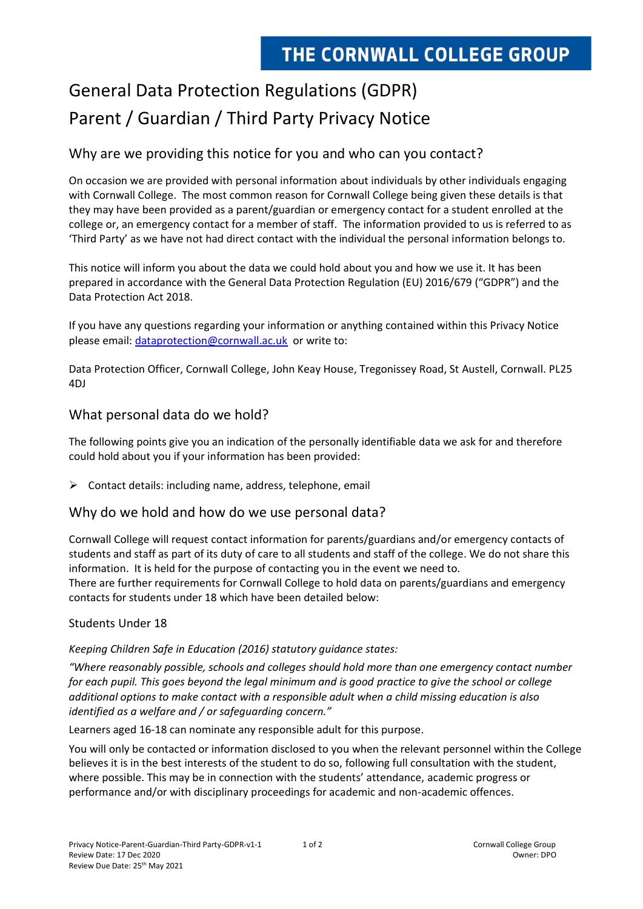# General Data Protection Regulations (GDPR) Parent / Guardian / Third Party Privacy Notice

## Why are we providing this notice for you and who can you contact?

On occasion we are provided with personal information about individuals by other individuals engaging with Cornwall College. The most common reason for Cornwall College being given these details is that they may have been provided as a parent/guardian or emergency contact for a student enrolled at the college or, an emergency contact for a member of staff. The information provided to us is referred to as 'Third Party' as we have not had direct contact with the individual the personal information belongs to.

This notice will inform you about the data we could hold about you and how we use it. It has been prepared in accordance with the General Data Protection Regulation (EU) 2016/679 ("GDPR") and the Data Protection Act 2018.

If you have any questions regarding your information or anything contained within this Privacy Notice please email: [dataprotection@cornwall.ac.uk](mailto:dataprotection@cornwall.ac.uk) or write to:

Data Protection Officer, Cornwall College, John Keay House, Tregonissey Road, St Austell, Cornwall. PL25 4DJ

## What personal data do we hold?

The following points give you an indication of the personally identifiable data we ask for and therefore could hold about you if your information has been provided:

 $\triangleright$  Contact details: including name, address, telephone, email

## Why do we hold and how do we use personal data?

Cornwall College will request contact information for parents/guardians and/or emergency contacts of students and staff as part of its duty of care to all students and staff of the college. We do not share this information. It is held for the purpose of contacting you in the event we need to.

There are further requirements for Cornwall College to hold data on parents/guardians and emergency contacts for students under 18 which have been detailed below:

### Students Under 18

#### *Keeping Children Safe in Education (2016) statutory guidance states:*

*"Where reasonably possible, schools and colleges should hold more than one emergency contact number for each pupil. This goes beyond the legal minimum and is good practice to give the school or college additional options to make contact with a responsible adult when a child missing education is also identified as a welfare and / or safeguarding concern."*

Learners aged 16-18 can nominate any responsible adult for this purpose.

You will only be contacted or information disclosed to you when the relevant personnel within the College believes it is in the best interests of the student to do so, following full consultation with the student, where possible. This may be in connection with the students' attendance, academic progress or performance and/or with disciplinary proceedings for academic and non-academic offences.